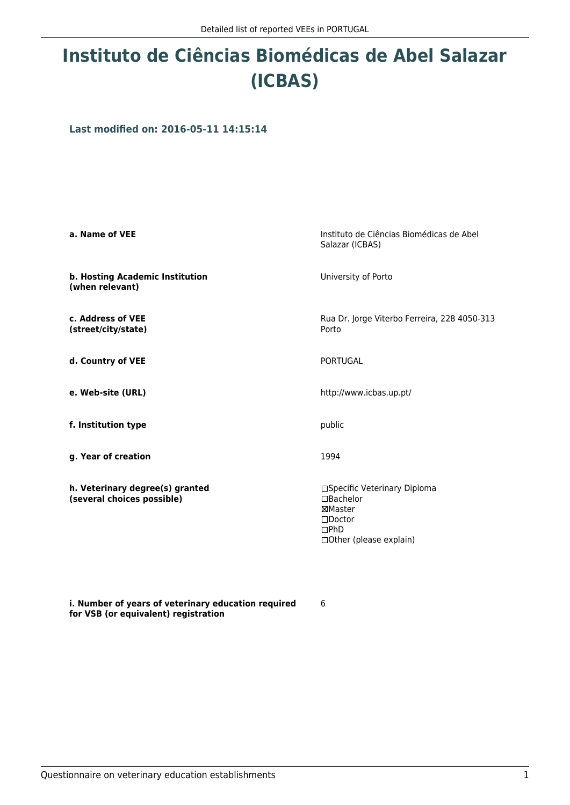## **Instituto de Ciências Biomédicas de Abel Salazar (ICBAS)**

**Last modified on: 2016-05-11 14:15:14**

| a. Name of VEE                                                | Instituto de Ciências Biomédicas de Abel<br>Salazar (ICBAS)                                                             |
|---------------------------------------------------------------|-------------------------------------------------------------------------------------------------------------------------|
| b. Hosting Academic Institution<br>(when relevant)            | University of Porto                                                                                                     |
| c. Address of VEE<br>(street/city/state)                      | Rua Dr. Jorge Viterbo Ferreira, 228 4050-313<br>Porto                                                                   |
| d. Country of VEE                                             | <b>PORTUGAL</b>                                                                                                         |
| e. Web-site (URL)                                             | http://www.icbas.up.pt/                                                                                                 |
| f. Institution type                                           | public                                                                                                                  |
| g. Year of creation                                           | 1994                                                                                                                    |
| h. Veterinary degree(s) granted<br>(several choices possible) | □Specific Veterinary Diploma<br>$\Box$ Bachelor<br>⊠Master<br>$\square$ Doctor<br>$\Box$ PhD<br>□Other (please explain) |

**i. Number of years of veterinary education required for VSB (or equivalent) registration**

6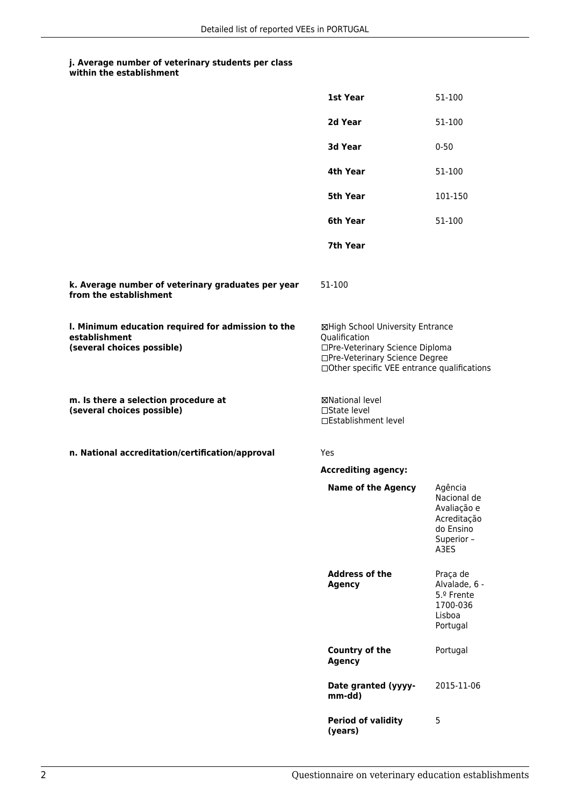## **j. Average number of veterinary students per class**

| within the establishment |
|--------------------------|
|--------------------------|

|                                                                                                   | 1st Year                                                                                                                                                              | 51-100                                                                                  |
|---------------------------------------------------------------------------------------------------|-----------------------------------------------------------------------------------------------------------------------------------------------------------------------|-----------------------------------------------------------------------------------------|
|                                                                                                   | 2d Year                                                                                                                                                               | 51-100                                                                                  |
|                                                                                                   | 3d Year                                                                                                                                                               | $0 - 50$                                                                                |
|                                                                                                   | 4th Year                                                                                                                                                              | 51-100                                                                                  |
|                                                                                                   | 5th Year                                                                                                                                                              | 101-150                                                                                 |
|                                                                                                   | 6th Year                                                                                                                                                              | 51-100                                                                                  |
|                                                                                                   | 7th Year                                                                                                                                                              |                                                                                         |
| k. Average number of veterinary graduates per year<br>from the establishment                      | 51-100                                                                                                                                                                |                                                                                         |
| I. Minimum education required for admission to the<br>establishment<br>(several choices possible) | ⊠High School University Entrance<br>Qualification<br>□Pre-Veterinary Science Diploma<br>□Pre-Veterinary Science Degree<br>□Other specific VEE entrance qualifications |                                                                                         |
| m. Is there a selection procedure at<br>(several choices possible)                                | ⊠National level<br>$\Box$ State level<br>□Establishment level                                                                                                         |                                                                                         |
| n. National accreditation/certification/approval                                                  | Yes                                                                                                                                                                   |                                                                                         |
|                                                                                                   | <b>Accrediting agency:</b>                                                                                                                                            |                                                                                         |
|                                                                                                   | <b>Name of the Agency</b>                                                                                                                                             | Agência<br>Nacional de<br>Avaliação e<br>Acreditação<br>do Ensino<br>Superior -<br>A3ES |
|                                                                                                   | <b>Address of the</b><br><b>Agency</b>                                                                                                                                | Praça de<br>Alvalade, 6 -<br>5.º Frente<br>1700-036<br>Lisboa<br>Portugal               |
|                                                                                                   | <b>Country of the</b><br><b>Agency</b>                                                                                                                                | Portugal                                                                                |
|                                                                                                   | Date granted (yyyy-<br>mm-dd)                                                                                                                                         | 2015-11-06                                                                              |
|                                                                                                   | <b>Period of validity</b><br>(years)                                                                                                                                  | 5                                                                                       |